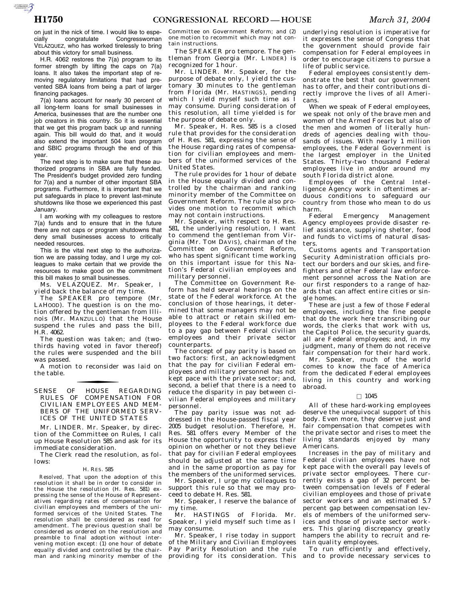AUTOROTOMICALE CONTINUES

on just in the nick of time. I would like to espe-<br>cially congratulate Congresswoman cially congratulate Congresswoman VELAZQUEZ, who has worked tirelessly to bring about this victory for small business.

H.R. 4062 restores the 7(a) program to its former strength by lifting the caps on 7(a) loans. It also takes the important step of removing regulatory limitations that had prevented SBA loans from being a part of larger financing packages.

7(a) loans account for nearly 30 percent of all long-term loans for small businesses in America, businesses that are the number one job creators in this country. So it is essential that we get this program back up and running again. This bill would do that, and it would also extend the important 504 loan program and SBIC programs through the end of this year.

The next step is to make sure that these authorized programs in SBA are fully funded. The President's budget provided zero funding for 7(a) and a number of other important SBA programs. Furthermore, it is important that we put safeguards in place to prevent last-minute shutdowns like those we experienced this past January.

I am working with my colleagues to restore 7(a) funds and to ensure that in the future there are not caps or program shutdowns that deny small businesses access to critically needed resources.

This is the vital next step to the authorization we are passing today, and I urge my colleagues to make certain that we provide the resources to make good on the commitment this bill makes to small businesses.

Ms. VELÁZQUEZ. Mr. Speaker, I yield back the balance of my time.

The SPEAKER pro tempore (Mr. LAHOOD). The question is on the motion offered by the gentleman from Illinois (Mr. MANZULLO) that the House suspend the rules and pass the bill, H.R. 4062.

The question was taken; and (twothirds having voted in favor thereof) the rules were suspended and the bill was passed.

A motion to reconsider was laid on the table.

SENSE OF HOUSE REGARDING RULES OF COMPENSATION FOR CIVILIAN EMPLOYEES AND MEM-BERS OF THE UNIFORMED SERV-ICES OF THE UNITED STATES

Mr. LINDER. Mr. Speaker, by direction of the Committee on Rules, I call up House Resolution 585 and ask for its immediate consideration.

The Clerk read the resolution, as follows:

### H. RES. 585

*Resolved,* That upon the adoption of this resolution it shall be in order to consider in the House the resolution (H. Res. 581) expressing the sense of the House of Representatives regarding rates of compensation for civilian employees and members of the uniformed services of the United States. The resolution shall be considered as read for amendment. The previous question shall be considered as ordered on the resolution and preamble to final adoption without intervening motion except: (1) one hour of debate equally divided and controlled by the chairman and ranking minority member of the

Committee on Government Reform; and (2) one motion to recommit which may not contain instructions.

The SPEAKER pro tempore. The gentleman from Georgia (Mr. LINDER) is recognized for 1 hour.

Mr. LINDER. Mr. Speaker, for the purpose of debate only, I yield the customary 30 minutes to the gentleman from Florida (Mr. HASTINGS), pending which I yield myself such time as I may consume. During consideration of this resolution, all time yielded is for the purpose of debate only.

Mr. Speaker, H. Res. 585 is a closed rule that provides for the consideration of H. Res. 581, expressing the sense of the House regarding rates of compensation for civilian employees and members of the uniformed services of the United States.

The rule provides for 1 hour of debate in the House equally divided and controlled by the chairman and ranking minority member of the Committee on Government Reform. The rule also provides one motion to recommit which may not contain instructions.

Mr. Speaker, with respect to H. Res. 581, the underlying resolution, I want to commend the gentleman from Virginia (Mr. TOM DAVIS), chairman of the Committee on Government Reform, who has spent significant time working on this important issue for this Nation's Federal civilian employees and military personnel.

The Committee on Government Reform has held several hearings on the state of the Federal workforce. At the conclusion of those hearings, it determined that some managers may not be able to attract or retain skilled employees to the Federal workforce due to a pay gap between Federal civilian employees and their private sector counterparts.

The concept of pay parity is based on two factors: first, an acknowledgment that the pay for civilian Federal employees and military personnel has not kept pace with the private sector; and, second, a belief that there is a need to reduce the disparity in pay between civilian Federal employees and military personnel.

The pay parity issue was not addressed in the House-passed fiscal year 2005 budget resolution. Therefore, H. Res. 581 offers every Member of the House the opportunity to express their opinion on whether or not they believe that pay for civilian Federal employees should be adjusted at the same time and in the same proportion as pay for the members of the uniformed services.

Mr. Speaker, I urge my colleagues to support this rule so that we may proceed to debate H. Res. 581.

Mr. Speaker, I reserve the balance of my time.

Mr. HASTINGS of Florida. Mr. Speaker, I yield myself such time as I may consume.

Mr. Speaker, I rise today in support of the Military and Civilian Employees Pay Parity Resolution and the rule providing for its consideration. This underlying resolution is imperative for it expresses the sense of Congress that the government should provide fair compensation for Federal employees in order to encourage citizens to pursue a life of public service.

Federal employees consistently demonstrate the best that our government has to offer, and their contributions directly improve the lives of all Americans.

When we speak of Federal employees. we speak not only of the brave men and women of the Armed Forces but also of the men and women of literally hundreds of agencies dealing with thousands of issues. With nearly 1 million employees, the Federal Government is the largest employer in the United States. Thirty-two thousand Federal employees live in and/or around my south Florida district alone.

Employees of the Central Intelligence Agency work in oftentimes arduous conditions to safeguard our country from those who mean to do us harm.<br>Federal

Emergency Management Agency employees provide disaster relief assistance, supplying shelter, food and funds to victims of natural disasters.

Customs agents and Transportation Security Administration officials protect our borders and our skies, and firefighters and other Federal law enforcement personnel across the Nation are our first responders to a range of hazards that can affect entire cities or single homes.

These are just a few of those Federal employees, including the fine people that do the work here transcribing our words, the clerks that work with us, the Capitol Police, the security guards, all are Federal employees; and, in my judgment, many of them do not receive fair compensation for their hard work.

Mr. Speaker, much of the world comes to know the face of America from the dedicated Federal employees living in this country and working abroad.

## $\Box$  1045

All of these hard-working employees deserve the unequivocal support of this body. Even more, they deserve just and fair compensation that competes with the private sector and rises to meet the living standards enjoyed by many Americans.

Increases in the pay of military and Federal civilian employees have not kept pace with the overall pay levels of private sector employees. There currently exists a gap of 32 percent between compensation levels of Federal civilian employees and those of private sector workers and an estimated 5.7 percent gap between compensation levels of members of the uniformed services and those of private sector workers. This glaring discrepancy greatly hampers the ability to recruit and retain quality employees.

To run efficiently and effectively, and to provide necessary services to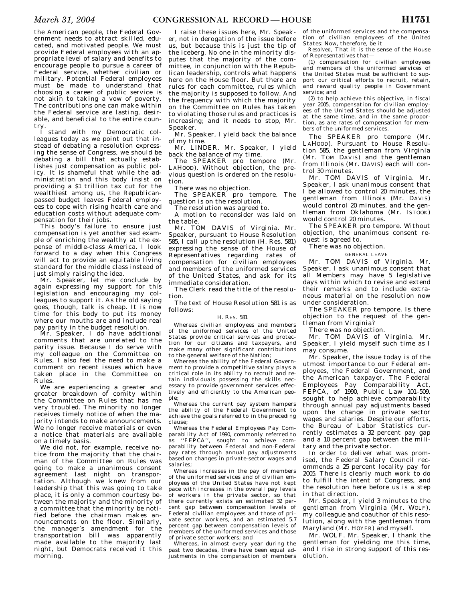the American people, the Federal Government needs to attract skilled, educated, and motivated people. We must provide Federal employees with an appropriate level of salary and benefits to encourage people to pursue a career of Federal service, whether civilian or military. Potential Federal employees must be made to understand that choosing a career of public service is not akin to taking a vow of poverty. The contributions one can make within the Federal service are lasting, desirable, and beneficial to the entire country.

I stand with my Democratic colleagues today as we point out that instead of debating a resolution expressing the sense of Congress, we should be debating a bill that actually establishes just compensation as public policy. It is shameful that while the administration and this body insist on providing a \$1 trillion tax cut for the wealthiest among us, the Republicanpassed budget leaves Federal employees to cope with rising health care and education costs without adequate compensation for their jobs.

This body's failure to ensure just compensation is yet another sad example of enriching the wealthy at the expense of middle-class America. I look forward to a day when this Congress will act to provide an equitable living standard for the middle class instead of just simply raising the idea.

Mr. Speaker, let me conclude by again expressing my support for this legislation and encouraging my colleagues to support it. As the old saying goes, though, talk is cheap. It is now time for this body to put its money where our mouths are and include real pay parity in the budget resolution.

Mr. Speaker, I do have additional comments that are unrelated to the parity issue. Because I do serve with my colleague on the Committee on Rules, I also feel the need to make a comment on recent issues which have taken place in the Committee on Rules.

We are experiencing a greater and greater breakdown of comity within the Committee on Rules that has me very troubled. The minority no longer receives timely notice of when the majority intends to make announcements. We no longer receive materials or even a notice that materials are available on a timely basis.

We did not, for example, receive notice from the majority that the chairman of the Committee on Rules was going to make a unanimous consent agreement last night on transportation. Although we knew from our leadership that this was going to take place, it is only a common courtesy between the majority and the minority of a committee that the minority be notified before the chairman makes announcements on the floor. Similarly, the manager's amendment for the transportation bill was apparently made available to the majority last night, but Democrats received it this morning.

I raise these issues here, Mr. Speaker, not in derogation of the issue before us, but because this is just the tip of the iceberg. No one in the minority disputes that the majority of the committee, in conjunction with the Republican leadership, controls what happens here on the House floor. But there are rules for each committee, rules which the majority is supposed to follow. And the frequency with which the majority on the Committee on Rules has taken to violating those rules and practices is increasing; and it needs to stop, Mr. Speaker.

Mr. Speaker, I yield back the balance of my time.

Mr. LINDER. Mr. Speaker, I yield back the balance of my time.

The SPEAKER pro tempore (Mr. LAHOOD). Without objection, the previous question is ordered on the resolution.

There was no objection.

The SPEAKER pro tempore. The question is on the resolution. The resolution was agreed to.

A motion to reconsider was laid on the table.

Mr. TOM DAVIS of Virginia. Mr. Speaker, pursuant to House Resolution 585, I call up the resolution (H. Res. 581) expressing the sense of the House of Representatives regarding rates of compensation for civilian employees and members of the uniformed services of the United States, and ask for its immediate consideration.

The Clerk read the title of the resolution.

The text of House Resolution 581 is as follows:

## H. RES. 581

Whereas civilian employees and members of the uniformed services of the United States provide critical services and protection for our citizens and taxpayers, and make many other significant contributions to the general welfare of the Nation;

Whereas the ability of the Federal Government to provide a competitive salary plays a critical role in its ability to recruit and retain individuals possessing the skills necessary to provide government services effectively and efficiently to the American people;

Whereas the current pay system hampers the ability of the Federal Government to achieve the goals referred to in the preceding clause;

Whereas the Federal Employees Pay Comparability Act of 1990, commonly referred to as ''FEPCA'', sought to achieve comparability between Federal and non-Federal pay rates through annual pay adjustments based on changes in private-sector wages and salaries;

Whereas increases in the pay of members of the uniformed services and of civilian employees of the United States have not kept pace with increases in the overall pay levels of workers in the private sector, so that there currently exists an estimated 32 percent gap between compensation levels of Federal civilian employees and those of private sector workers, and an estimated 5.7 percent gap between compensation levels of members of the uniformed services and those of private sector workers; and

Whereas, in almost every year during the past two decades, there have been equal adjustments in the compensation of members

of the uniformed services and the compensation of civilian employees of the United States: Now, therefore, be it

*Resolved,* That it is the sense of the House of Representatives that—

(1) compensation for civilian employees and members of the uniformed services of the United States must be sufficient to support our critical efforts to recruit, retain, and reward quality people in Government service; and

(2) to help achieve this objective, in fiscal year 2005, compensation for civilian employees of the United States should be adjusted at the same time, and in the same proportion, as are rates of compensation for members of the uniformed services.

The SPEAKER pro tempore (Mr. LAH00D). Pursuant to House Resolution 585, the gentleman from Virginia (Mr. TOM DAVIS) and the gentleman from Illinois (Mr. DAVIS) each will control 30 minutes.

Mr. TOM DAVIS of Virginia. Mr. Speaker, I ask unanimous consent that I be allowed to control 20 minutes, the gentleman from Illinois (Mr. DAVIS) would control 20 minutes, and the gentleman from Oklahoma (Mr. ISTOOK) would control 20 minutes.

The SPEAKER pro tempore. Without objection, the unanimous consent request is agreed to.

There was no objection.

## GENERAL LEAVE

Mr. TOM DAVIS of Virginia. Mr. Speaker, I ask unanimous consent that all Members may have 5 legislative days within which to revise and extend their remarks and to include extraneous material on the resolution now under consideration.

The SPEAKER pro tempore. Is there objection to the request of the gentleman from Virginia?

There was no objection.

Mr. TOM DAVIS of Virginia. Mr. Speaker, I yield myself such time as I may consume.

Mr. Speaker, the issue today is of the utmost importance to our Federal employees, the Federal Government, and the American taxpayer. The Federal Employees Pay Comparability Act, FEPCA, of 1990, Public Law 101-509, sought to help achieve comparability through annual pay adjustments based upon the change in private sector wages and salaries. Despite our efforts, the Bureau of Labor Statistics currently estimates a 32 percent pay gap and a 10 percent gap between the military and the private sector.

In order to deliver what was promised, the Federal Salary Council recommends a 25 percent locality pay for 2005. There is clearly much work to do to fulfill the intent of Congress, and the resolution here before us is a step in that direction.

Mr. Speaker, I yield 3 minutes to the gentleman from Virginia (Mr. WOLF), my colleague and coauthor of this resolution, along with the gentleman from Maryland (Mr. HOYER) and myself.

Mr. WOLF. Mr. Speaker, I thank the gentleman for yielding me this time, and I rise in strong support of this resolution.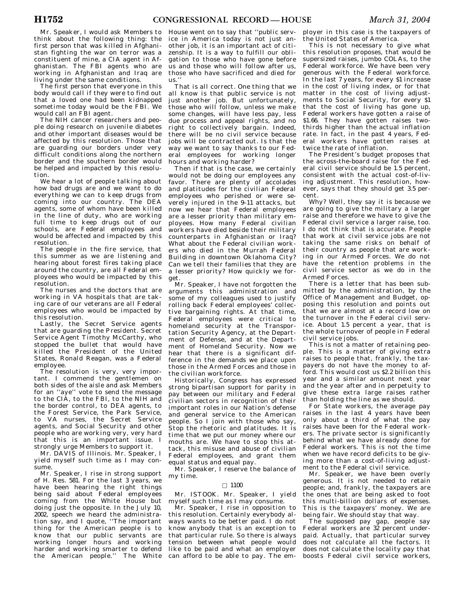Mr. Speaker, I would ask Members to think about the following thing: the first person that was killed in Afghanistan fighting the war on terror was a constituent of mine, a CIA agent in Afghanistan. The FBI agents who are working in Afghanistan and Iraq are living under the same conditions.

The first person that everyone in this body would call if they were to find out that a loved one had been kidnapped sometime today would be the FBI. We would call an FBI agent.

The NIH cancer researchers and people doing research on juvenile diabetes and other important diseases would be affected by this resolution. Those that are guarding our borders under very difficult conditions along the northern border and the southern border would be helped and impacted by this resolution.

We hear a lot of people talking about how bad drugs are and we want to do everything we can to keep drugs from coming into our country. The DEA agents, some of whom have been killed in the line of duty, who are working full time to keep drugs out of our schools, are Federal employees and would be affected and impacted by this resolution.

The people in the fire service, that this summer as we are listening and hearing about forest fires taking place around the country, are all Federal employees who would be impacted by this resolution.

The nurses and the doctors that are working in VA hospitals that are taking care of our veterans are all Federal employees who would be impacted by this resolution.

Lastly, the Secret Service agents that are guarding the President. Secret Service Agent Timothy McCarthy, who stopped the bullet that would have killed the President of the United States, Ronald Reagan, was a Federal employee.

The resolution is very, very important. I commend the gentlemen on both sides of the aisle and ask Members for an ''aye'' vote to send the message to the CIA, to the FBI, to the NIH and the border control, to DEA agents, to the Forest Service, the Park Service, to VA nurses, the Secret Service agents, and Social Security and other people who are working very, very hard that this is an important issue. I strongly urge Members to support it.

Mr. DAVIS of Illinois. Mr. Speaker, I yield myself such time as I may consume.

Mr. Speaker, I rise in strong support of H. Res. 581. For the last 3 years, we have been hearing the right things being said about Federal employees coming from the White House but doing just the opposite. In the July 10, 2002, speech we heard the administration say, and I quote, ''The important thing for the American people is to know that our public servants are working longer hours and working harder and working smarter to defend the American people.'' The White

House went on to say that ''public service in America today is not just another job, it is an important act of citizenship. It is a way to fulfill our obligation to those who have gone before us and those who will follow after us, those who have sacrificed and died for us.''

That is all correct. One thing that we all know is that public service is not just another job. But unfortunately, those who will follow, unless we make some changes, will have less pay, less due process and appeal rights, and no right to collectively bargain. Indeed, there will be no civil service because jobs will be contracted out. Is that the way we want to say thanks to our Federal employees for working longer hours and working harder?

Then if that is the case, we certainly would not be doing our employees any favor. There are plenty of accolades and platitudes for the civilian Federal employees who perished or were severely injured in the 9–11 attacks, but now we hear that Federal employees are a lesser priority than military employees. How many Federal civilian workers have died beside their military counterparts in Afghanistan or Iraq? What about the Federal civilian workers who died in the Murrah Federal Building in downtown Oklahoma City? Can we tell their families that they are a lesser priority? How quickly we forget.

Mr. Speaker, I have not forgotten the arguments this administration and some of my colleagues used to justify rolling back Federal employees' collective bargaining rights. At that time, Federal employees were critical to homeland security at the Transportation Security Agency, at the Department of Defense, and at the Department of Homeland Security. Now we hear that there is a significant difference in the demands we place upon those in the Armed Forces and those in the civilian workforce.

Historically, Congress has expressed strong bipartisan support for parity in pay between our military and Federal civilian sectors in recognition of their important roles in our Nation's defense and general service to the American people. So I join with those who say, Stop the rhetoric and platitudes. It is time that we put our money where our mouths are. We have to stop this attack, this misuse and abuse of civilian Federal employees, and grant them equal status and equal pay.

Mr. Speaker, I reserve the balance of my time.

## $\square$  1100

Mr. ISTOOK. Mr. Speaker, I yield myself such time as I may consume.

Mr. Speaker, I rise in opposition to this resolution. Certainly everybody always wants to be better paid. I do not know anybody that is an exception to that particular rule. So there is always tension between what people would like to be paid and what an employer can afford to be able to pay. The em-

ployer in this case is the taxpayers of the United States of America.

This is not necessary to give what this resolution proposes, that would be supersized raises, jumbo COLAs, to the Federal workforce. We have been very generous with the Federal workforce. In the last 7 years, for every \$1 increase in the cost of living index, or for that m the cost of living adjustments to Social Security, for every \$1 that the cost of living has gone up, Federal workers have gotten a raise of \$1.66. They have gotten raises twothirds higher than the actual inflation rate. In fact, in the past 4 years, Federal workers have gotten raises at twice the rate of inflation.

The President's budget proposes that the across-the-board raise for the Federal civil service should be 1.5 percent, consistent with the actual cost-of-living adjustment. This resolution, however, says that they should get 3.5 percent.

Why? Well, they say it is because we are going to give the military a larger raise and therefore we have to give the Federal civil service a larger raise, too. I do not think that is accurate. People that work at civil service jobs are not taking the same risks on behalf of their country as people that are working in our Armed Forces. We do not have the retention problems in the civil service sector as we do in the Armed Forces.

There is a letter that has been submitted by the administration, by the Office of Management and Budget, opposing this resolution and points out that we are almost at a record low on the turnover in the Federal civil service. About 1.5 percent a year, that is the whole turnover of people in Federal civil service jobs.

This is not a matter of retaining people. This is a matter of giving extra raises to people that, frankly, the taxpayers do not have the money to afford. This would cost us \$2.2 billion this year and a similar amount next year and the year after and in perpetuity to give these extra large raises rather than holding the line as we should.

For State workers, the average pay raises in the last 4 years have been only about a third of what the pay raises have been for the Federal workers. The private sector is significantly behind what we have already done for Federal workers. This is not the time when we have record deficits to be giving more than a cost-of-living adjustment to the Federal civil service.

Mr. Speaker, we have been overly generous. It is not needed to retain people; and, frankly, the taxpayers are the ones that are being asked to foot this multi-billion dollars of expenses. This is the taxpayers' money. We are being fair. We should stay that way.

The supposed pay gap, people say Federal workers are 32 percent underpaid. Actually, that particular survey does not calculate all the factors. It does not calculate the locality pay that boosts Federal civil service workers,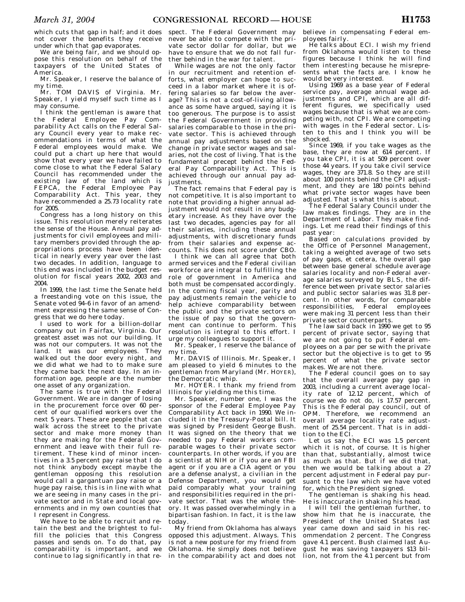which cuts that gap in half; and it does not cover the benefits they receive under which that gap evaporates.

We are being fair, and we should oppose this resolution on behalf of the taxpayers of the United States of America.

Mr. Speaker, I reserve the balance of my time.

Mr. TOM DAVIS of Virginia. Mr. Speaker, I yield myself such time as I may consume.

I think the gentleman is aware that the Federal Employee Pay Comparability Act calls on the Federal Salary Council every year to make recommendations in terms of what the Federal employees would make. We could put a chart up here that would show that every year we have failed to come close to what the Federal Salary Council has recommended under the existing law of the land which is FEPCA, the Federal Employee Pay Comparability Act. This year, they have recommended a 25.73 locality rate for 2005.

Congress has a long history on this issue. This resolution merely reiterates the sense of the House. Annual pay adjustments for civil employees and military members provided through the appropriations process have been identical in nearly every year over the last two decades. In addition, language to this end was included in the budget resolution for fiscal years 2002, 2003 and 2004.

In 1999, the last time the Senate held a freestanding vote on this issue, the Senate voted 94–6 in favor of an amendment expressing the same sense of Congress that we do here today.

I used to work for a billion-dollar company out in Fairfax, Virginia. Our greatest asset was not our building. It was not our computers. It was not the land. It was our employees. They walked out the door every night, and we did what we had to to make sure they came back the next day. In an information age, people are the number one asset of any organization.

The same is true with the Federal Government. We are in danger of losing in the procurement force over 60 percent of our qualified workers over the next 5 years. These are people that can walk across the street to the private sector and make more money than they are making for the Federal Government and leave with their full retirement. These kind of minor incentives in a 3.5 percent pay raise that I do not think anybody except maybe the gentleman opposing this resolution would call a gargantuan pay raise or a huge pay raise, this is in line with what we are seeing in many cases in the private sector and in State and local governments and in my own counties that I represent in Congress.

We have to be able to recruit and retain the best and the brightest to fulfill the policies that this Congress passes and sends on. To do that, pay comparability is important, and we continue to lag significantly in that respect. The Federal Government may never be able to compete with the private sector dollar for dollar, but we have to ensure that we do not fall further behind in the war for talent.

While wages are not the only factor in our recruitment and retention efforts, what employer can hope to succeed in a labor market where it is offering salaries so far below the average? This is not a cost-of-living allowance as some have argued, saying it is too generous. The purpose is to assist the Federal Government in providing salaries comparable to those in the private sector. This is achieved through annual pay adjustments based on the change in private sector wages and salaries, not the cost of living. That is the fundamental precept behind the Federal Pay Comparability Act. This is achieved through our annual pay adjustments.

The fact remains that Federal pay is not competitive. It is also important to note that providing a higher annual adjustment would not result in any budgetary increase. As they have over the last two decades, agencies pay for all their salaries, including these annual adjustments, with discretionary funds from their salaries and expense accounts. This does not score under CBO.

I think we can all agree that both armed services and the Federal civilian workforce are integral to fulfilling the role of government in America and both must be compensated accordingly. In the coming fiscal year, parity and pay adjustments remain the vehicle to help achieve comparability between the public and the private sectors on the issue of pay so that the government can continue to perform. This resolution is integral to this effort. I urge my colleagues to support it.

Mr. Speaker, I reserve the balance of my time.

Mr. DAVIS of Illinois. Mr. Speaker, I am pleased to yield 6 minutes to the gentleman from Maryland (Mr. HOYER), the Democratic whip.

Mr. HOYER. I thank my friend from Illinois for yielding me this time.

Mr. Speaker, number one, I was the sponsor of the Federal Employee Pay Comparability Act back in 1990. We included it in the Treasury-Postal bill. It was signed by President George Bush. It was signed on the theory that we needed to pay Federal workers comparable wages to their private sector counterparts. In other words, if you are a scientist at NIH or if you are an FBI agent or if you are a CIA agent or you are a defense analyst, a civilian in the Defense Department, you would get paid comparably what your training and responsibilities required in the private sector. That was the whole theory. It was passed overwhelmingly in a bipartisan fashion. In fact, it is the law today.

My friend from Oklahoma has always opposed this adjustment. Always. This is not a new posture for my friend from Oklahoma. He simply does not believe in the comparability act and does not

believe in compensating Federal employees fairly.

He talks about ECI. I wish my friend from Oklahoma would listen to these figures because I think he will find them interesting because he misrepresents what the facts are. I know he would be very interested.

Using 1969 as a base year of Federal service pay, average annual wage adjustments and CPI, which are all different figures, we specifically used wages because that is what we are competing with, not CPI. We are competing with wages in the Federal sector. Listen to this and I think you will be shocked.

Since 1969, if you take wages as the base, they are now at 614 percent. If you take CPI, it is at 509 percent over those 44 years. If you take civil service wages, they are 371.8. So they are still about 100 points behind the CPI adjustment, and they are 180 points behind what private sector wages have been adjusted. That is what this is about.

The Federal Salary Council under the law makes findings. They are in the Department of Labor. They make findings. Let me read their findings of this past year:

Based on calculations provided by the Office of Personnel Management, taking a weighted average of two sets of pay gaps, et cetera, the overall gap between base general schedule average salaries locality and non-Federal average salaries surveyed by BLS, the difference between private sector salaries and public sector salaries was 31.8 percent. In other words, for comparable responsibilities, Federal employees were making 31 percent less than their private sector counterparts.

The law said back in 1990 we get to 95 percent of private sector, saying that we are not going to put Federal employees on a par per se with the private sector but the objective is to get to 95 percent of what the private sector makes. We are not there.

The Federal council goes on to say that the overall average pay gap in 2003, including a current average locality rate of 12.12 percent, which of course we do not do, is 17.57 percent. This is the Federal pay council, out of OPM. Therefore, we recommend an overall average locality rate adjustment of 25.54 percent. That is in addition to the ECI.

Let us say the ECI was 1.5 percent which it is not, of course. It is higher than that, substantially, almost twice as much as that. But if we did that, then we would be talking about a 27 percent adjustment in Federal pay pursuant to the law which we have voted for, which the President signed.

The gentleman is shaking his head. He is inaccurate in shaking his head.

I will tell the gentleman further, to show him that he is inaccurate, the President of the United States last year came down and said in his recommendation 2 percent. The Congress gave 4.1 percent. Bush claimed last August he was saving taxpayers \$13 billion, not from the 4.1 percent but from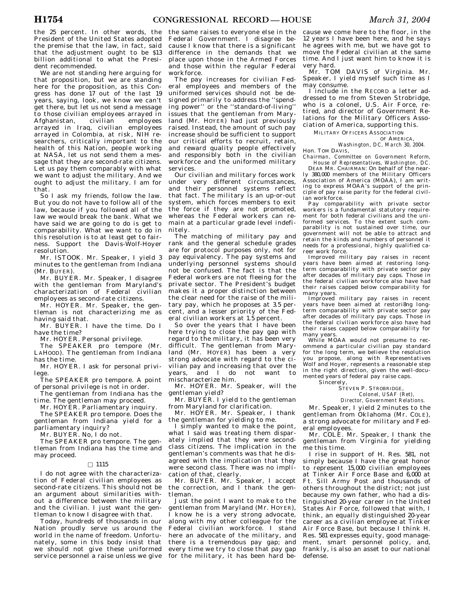the 25 percent. In other words, the President of the United States adopted the premise that the law, in fact, said that the adjustment ought to be \$13 billion additional to what the President recommended.

We are not standing here arguing for that proposition, but we are standing here for the proposition, as this Congress has done 17 out of the last 19 years, saying, look, we know we can't get there, but let us not send a message to those civilian employees arrayed in<br>Afghanistan, civilian employees Afghanistan, civilian employees arrayed in Iraq, civilian employees arrayed in Colombia, at risk, NIH researchers, critically important to the health of this Nation, people working at NASA, let us not send them a message that they are second-rate citizens. Let us pay them comparably with what we want to adjust the military. And we ought to adjust the military. I am for that.

So I ask my friends, follow the law. But you do not have to follow all of the law, because if you followed all of the law we would break the bank. What we have said we are going to do is get to comparability. What we want to do in this resolution is to at least get to fairness. Support the Davis-Wolf-Hoyer resolution.

Mr. ISTOOK. Mr. Speaker, I yield 3 minutes to the gentleman from Indiana (Mr. BUYER).

Mr. BUYER. Mr. Speaker, I disagree with the gentleman from Maryland's characterization of Federal civilian employees as second-rate citizens.

Mr. HOYER. Mr. Speaker, the gentleman is not characterizing me as having said that.

Mr. BUYER. I have the time. Do I have the time?

Mr. HOYER. Personal privilege.

The SPEAKER pro tempore (Mr. LAHOOD). The gentleman from Indiana has the time.

Mr. HOYER. I ask for personal privilege.

The SPEAKER pro tempore. A point of personal privilege is not in order.

The gentleman from Indiana has the time. The gentleman may proceed.

Mr. HOYER. Parliamentary inquiry. The SPEAKER pro tempore. Does the

gentleman from Indiana yield for a parliamentary inquiry?

Mr. BUYER. No, I do not.

The SPEAKER pro tempore. The gentleman from Indiana has the time and may proceed.

## $\Box$  1115

I do not agree with the characterization of Federal civilian employees as second-rate citizens. This should not be an argument about similarities without a difference between the military and the civilian. I just want the gentleman to know I disagree with that.

Today, hundreds of thousands in our Nation proudly serve us around the world in the name of freedom. Unfortunately, some in this body insist that we should not give these uniformed service personnel a raise unless we give

the same raises to everyone else in the Federal Government. I disagree because I know that there is a significant difference in the demands that we place upon those in the Armed Forces and those within the regular Federal workforce.

The pay increases for civilian Federal employees and members of the uniformed services should not be designed primarily to address the ''spending power'' or the ''standard-of-living'' issues that the gentleman from Maryland (Mr. HOYER) had just previously raised. Instead, the amount of such pay increase should be sufficient to support our critical efforts to recruit, retain, and reward quality people effectively and responsibly both in the civilian workforce and the uniformed military services.

Our civilian and military forces work under very different circumstances, and their personnel systems reflect that fact. The military is an up-or-out system, which forces members to exit the force if they are not promoted, whereas the Federal workers can remain at a particular grade level indefinitely.

The matching of military pay and rank and the general schedule grades are for protocol purposes only, not for pay equivalency. The pay systems and underlying personnel systems should not be confused. The fact is that the Federal workers are not fleeing for the private sector. The President's budget makes it a proper distinction between the clear need for the raise of the military pay, which he proposes at 3.5 percent, and a lesser priority of the Federal civilian workers at 1.5 percent.

So over the years that I have been here trying to close the pay gap with regard to the military, it has been very difficult. The gentleman from Maryland (Mr. HOYER) has been a very strong advocate with regard to the civilian pay and increasing that over the years, and I do not want to mischaracterize him.

Mr. HOYER. Mr. Speaker, will the gentleman yield?

Mr. BUYER. I yield to the gentleman from Maryland for clarification.

Mr. HOYER. Mr. Speaker, I thank the gentleman for yielding to me.

I simply wanted to make the point, what I said was treating them disparately implied that they were secondclass citizens. The implication in the gentleman's comments was that he disagreed with the implication that they were second class. There was no implication of that, clearly.

Mr. BUYER. Mr. Speaker, I accept the correction, and I thank the gentleman.

Just the point I want to make to the gentleman from Maryland (Mr. HOYER), I know he is a very strong advocate, along with my other colleague for the Federal civilian workforce. I stand here an advocate of the military, and there is a tremendous pay gap; and every time we try to close that pay gap for the military, it has been hard be-

cause we come here to the floor, in the 12 years I have been here, and he says he agrees with me, but we have got to move the Federal civilian at the same time. And I just want him to know it is very hard.

Mr. TOM DAVIS of Virginia. Mr. Speaker, I yield myself such time as I may consume.

I include in the RECORD a letter addressed to me from Steven Strobridge, who is a colonel, U.S. Air Force, retired, and director of Government Relations for the Military Officers Association of America, supporting this.

MILITARY OFFICERS ASSOCIATION

OF AMERICA, *Washington, DC, March 30, 2004.* 

Hon. TOM DAVIS,

*Chairman, Committee on Government Reform, House of Representatives, Washington, DC.* 

DEAR MR. CHAIRMAN: On behalf of the nearly 380,000 members of the Military Officers Association of America (MOAA), I am writing to express MOAA's support of the principle of pay raise parity for the federal civilian workforce.

Pay comparability with private sector workers is a fundamental statutory requirement for both federal civilians and the uniformed services. To the extent such comparability is not sustained over time, our government will not be able to attract and retain the kinds and numbers of personnel it needs for a professional, highly qualified career work force.

Improved military pay raises in recent years have been aimed at restoring longterm comparability with private sector pay after decades of military pay caps. Those in the federal civilian workforce also have had their raises capped below comparability for many years.

Improved military pay raises in recent years have been aimed at restori8ng longterm comparability with private sector pay after decades of military pay caps. Those in the federal civilian workforce also have had their raises capped below comparability for many years.

While MOAA would not presume to recommend a particular civilian pay standard for the long term, we believe the resolution you propose, along with Representatives Wolf and Hoyer, represents a reasonable step in the right direction, given the well-documented years of federal pay raise caps.

Sincerely,

STEVEN P. STROBRIDGE, *Colonel, USAF (Ret),* 

*Director, Government Relations.* 

Mr. Speaker, I yield 2 minutes to the gentleman from Oklahoma (Mr. COLE), a strong advocate for military and Federal employees.

Mr. COLE. Mr. Speaker, I thank the gentleman from Virginia for yielding me this time.

I rise in support of H. Res. 581, not simply because I have the great honor to represent 15,000 civilian employees at Tinker Air Force Base and 6,000 at Ft. Sill Army Post and thousands of others throughout the district; not just because my own father, who had a distinguished 20-year career in the United States Air Force, followed that with, I think, an equally distinguished 20-year career as a civilian employee at Tinker Air Force Base, but because I think H. Res. 581 expresses equity, good management, smart personnel policy, and, frankly, is also an asset to our national defense.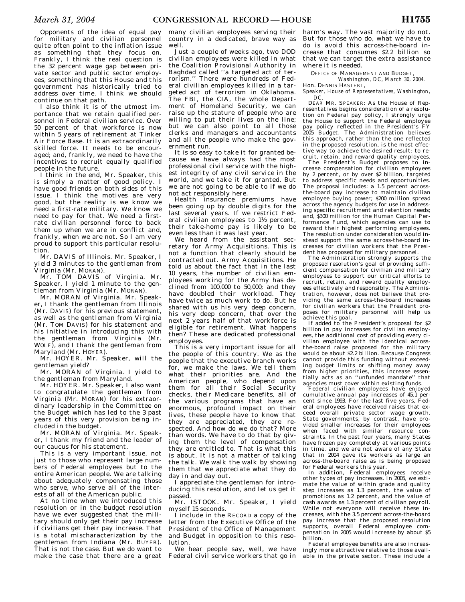Opponents of the idea of equal pay for military and civilian personnel quite often point to the inflation issue as something that they focus on. Frankly, I think the real question is the 32 percent wage gap between private sector and public sector employees, something that this House and this government has historically tried to address over time. I think we should continue on that path.

I also think it is of the utmost importance that we retain qualified personnel in Federal civilian service. Over 50 percent of that workforce is now within 5 years of retirement at Tinker Air Force Base. It is an extraordinarily skilled force. It needs to be encouraged; and, frankly, we need to have the incentives to recruit equally qualified people in the future.

I think in the end, Mr. Speaker, this is simply a matter of good policy. I have good friends on both sides of this issue. I think the motives are very good, but the reality is we know we need a first-rate military. We know we need to pay for that. We need a firstrate civilian personnel force to back them up when we are in conflict and, frankly, when we are not. So I am very proud to support this particular resolution.

Mr. DAVIS of Illinois. Mr. Speaker, I yield 3 minutes to the gentleman from Virginia (Mr. MORAN).

Mr. TOM DAVIS of Virginia. Mr. Speaker, I yield 1 minute to the gentleman from Virginia (Mr. MORAN).

Mr. MORAN of Virginia. Mr. Speaker, I thank the gentleman from Illinois (Mr. DAVIS) for his previous statement, as well as the gentleman from Virginia (Mr. TOM DAVIS) for his statement and his initiative in introducing this with the gentleman from Virginia (Mr. WOLF), and I thank the gentleman from Maryland (Mr. HOYER).

Mr. HOYER. Mr. Speaker, will the gentleman yield?

Mr. MORAN of Virginia. I yield to the gentleman from Maryland.

Mr. HOYER. Mr. Speaker, I also want to congratulate the gentleman from Virginia (Mr. MORAN) for his extraordinary leadership in the Committee on the Budget which has led to the 3 past years of this very provision being included in the budget.

Mr. MORAN of Virginia. Mr. Speaker, I thank my friend and the leader of our caucus for his statement.

This is a very important issue, not just to those who represent large numbers of Federal employees but to the entire American people. We are talking about adequately compensating those who serve, who serve all of the interests of all of the American public.

At no time when we introduced this resolution or in the budget resolution have we ever suggested that the military should only get their pay increase if civilians get their pay increase. That is a total mischaracterization by the gentleman from Indiana (Mr. BUYER). That is not the case. But we do want to make the case that there are a great

many civilian employees serving their country in a dedicated, brave way as well.

Just a couple of weeks ago, two DOD civilian employees were killed in what the Coalition Provisional Authority in Baghdad called ''a targeted act of terrorism.'' There were hundreds of Federal civilian employees killed in a targeted act of terrorism in Oklahoma. The FBI, the CIA, the whole Department of Homeland Security, we can raise up the stature of people who are willing to put their lives on the line; but we can also point to all those clerks and managers and accountants and all the people who make the government run.

It is so easy to take it for granted because we have always had the most professional civil service with the highest integrity of any civil service in the world, and we take it for granted. But we are not going to be able to if we do not act responsibly here.

Health insurance premiums have been going up by double digits for the last several years. If we restrict Federal civilian employees to 11⁄2 percent, their take-home pay is likely to be even less than it was last year.

We heard from the assistant secretary for Army Acquisitions. This is not a function that clearly should be contracted out. Army Acquisitions. He told us about the fact that in the last 10 years, the number of civilian employees working for the Army has declined from  $100,000$  to  $50,000$ ; and they have doubled their workload. They have twice as much work to do. But he shared with us his very deep concern, his very deep concern, that over the next 2 years half of that workforce is eligible for retirement. What happens then? These are dedicated professional employees.

This is a very important issue for all the people of this country. We as the people that the executive branch works for, we make the laws. We tell them what their priorities are. And the American people, who depend upon them for all their Social Security checks, their Medicare benefits, all of the various programs that have an enormous, profound impact on their lives, these people have to know that they are appreciated, they are respected. And how do we do that? More than words. We have to do that by giving them the level of compensation they are entitled to. That is what this is about. It is not a matter of talking the talk. We walk the walk by showing them that we appreciate what they do day in and day out.

I appreciate the gentleman for introducing this resolution, and let us get it passed.

Mr. ISTOOK. Mr. Speaker, I yield myself 15 seconds.

I include in the RECORD a copy of the letter from the Executive Office of the President of the Office of Management and Budget in opposition to this resolution.

We hear people say, well, we have Federal civil service workers that go in harm's way. The vast majority do not. But for those who do, what we have to do is avoid this across-the-board increase that consumes \$2.2 billion so that we can target the extra assistance where it is needed.

OFFICE OF MANAGEMENT AND BUDGET

*Washington, DC, March 30, 2004.*  Hon. DENNIS HASTERT,

*Speaker, House of Representatives, Washington, DC.* 

DEAR MR. SPEAKER: As the House of Representatives begins consideration of a resolution on Federal pay policy, I strongly urge the House to support the Federal employee pay policy reflected in the President's FY 2005 Budget. The Administration believes this approach, rather than the one reflected in the proposed resolution, is the most effective way to achieve the desired result: to recruit, retain, and reward quality employees.

The President's Budget proposes to increase compensation for civilian employees by 2 percent, or by over \$2 billion, targeted to address specific needs and opportunities. The proposal includes: a 1.5 percent acrossthe-board pay increase to maintain civilian employee buying power; \$200 million spread across the agency budgets for use in addressing specific recruitment and retention needs; and, \$300 million for the Human Capital Performance Fund, which agencies can use to reward their highest performing employees. The resolution under consideration would instead support the same across-the-board increases for civilian workers that the President has proposed for military personnel.

The Administration strongly supports the proposed resolution's goal of providing sufficient compensation for civilian and military employees to support our critical efforts to recruit, retain, and reward quality employees effectively and responsibly. The Administration, however, does not believe that providing the same across-the-board increases for civilian workers that the President proposes for military personnel will help us achieve this goal.

If added to the President's proposal for \$2 billion in pay increases for civilian employees, the additional cost of providing every civilian employee with the identical acrossthe-board raise proposed for the military would be about \$2.2 billion. Because Congress cannot provide this funding without exceeding budget limits or shifting money away from higher priorities, this increase essentially acts as an "unfunded mandate" that tially acts as an "unfunded mandate" agencies must cover within existing funds.

Federal civilian employees have enjoyed cumulative annual pay increases of 45.1 percent since 1993. For the last five years, Federal employees have received raises that exceed overall private sector wage growth. State governments, by contrast, have provided smaller increases for their employees when faced with similar resource constraints. In the past four years, many States have frozen pay completely at various points in time, and we are not aware of any State that in 2004 gave its workers as large an across-the-board raise as is being proposed

for Federal workers this year. In addition, Federal employees receive other types of pay increases. In 2005, we estimate the value of within grade and quality step increases as 1.3 percent, the value of promotions as 1.2 percent, and the value of cash awards as 1.3 percent of civilian payroll. While not everyone will receive these increases, with the 3.5 percent across-the-board pay increase that the proposed resolution supports, overall Federal employee compensation in 2005 would increase by about \$5 billion.

Federal employee benefits are also increasingly more attractive relative to those available in the private sector. These include a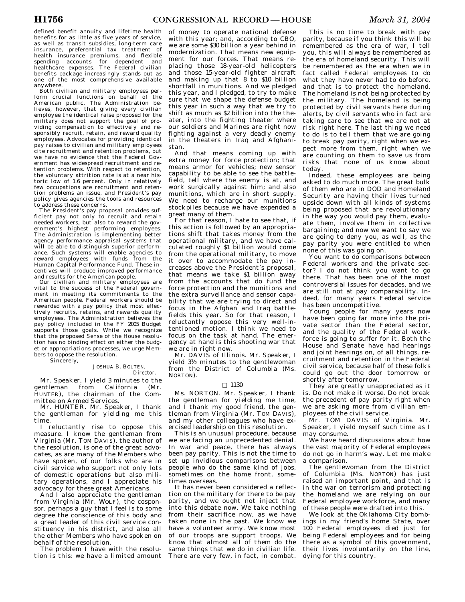defined benefit annuity and lifetime health benefits for as little as five years of service, as well as transit subsidies, long-term care insurance, preferential tax treatment of health insurance premiums, and flexible spending accounts for dependent and healthcare expenses. The Federal civilian benefits package increasingly stands out as one of the most comprehensive available anywhere.

Both civilian and military employees perform crucial functions on behalf of the American public. The Administration believes, however, that giving every civilian employee the identical raise proposed for the military does not support the goal of providing compensation to effectively and responsibly recruit, retain, and reward quality employees. Advocates for providing identical pay raises to civilian and military employees cite recruitment and retention problems, but we have no evidence that the Federal Government has widespread recruitment and retention problems. With respect to retention, the voluntary attrition rate is at a near historic low of 1.6 percent. Only in relatively few occupations are recruitment and retention problems an issue, and President's pay policy gives agencies the tools and resources to address these concerns.

The President's pay proposal provides suf-ficient pay not only to recruit and retain needed workers, but also to reward the government's highest performing employees. The Administration is implementing better agency performance appraisal systems that will be able to distinguish superior performance. Such systems will enable agencies to reward employees with funds from the Human Capital Performance Fund. These incentives will produce improved performance and results for the American people.

Our civilian and military employees are vital to the success of the Federal government in meeting its commitments to the American people. Federal workers should be rewarded with a pay policy that most effectively recruits, retains, and rewards quality employees. The Administration believes the pay policy included in the FY 2005 Budget supports those goals. While we recognize that the proposed Sense of the House resolution has no binding effect on either the budget or appropriations processes, we urge Members to oppose the resolution.

Sincerely,

#### JOSHUA B. BOLTEN, *Director.*

Mr. Speaker, I yield 3 minutes to the gentleman from California (Mr. HUNTER), the chairman of the Committee on Armed Services.

Mr. HUNTER. Mr. Speaker, I thank the gentleman for yielding me this time.

I reluctantly rise to oppose this measure. I know the gentleman from Virginia (Mr. TOM DAVIS), the author of the resolution, is one of the great advocates, as are many of the Members who have spoken, of our folks who are in civil service who support not only lots of domestic operations but also military operations, and I appreciate his advocacy for these great Americans.

And I also appreciate the gentleman from Virginia (Mr. WOLF), the cosponsor, perhaps a guy that I feel is to some degree the conscience of this body and a great leader of this civil service constituency in his district, and also all the other Members who have spoken on behalf of the resolution.

The problem I have with the resolution is this: we have a limited amount

of money to operate national defense with this year; and, according to CBO, we are some \$30 billion a year behind in modernization. That means new equipment for our forces. That means replacing those 18-year-old helicopters and those 15-year-old fighter aircraft and making up that 8 to \$10 billion shortfall in munitions. And we pledged this year, and I pledged, to try to make sure that we shape the defense budget this year in such a way that we try to shift as much as \$2 billion into the theater, into the fighting theater where our soldiers and Marines are right now fighting against a very deadly enemy in the theaters in Iraq and Afghanistan.

And that means coming up with extra money for force protection; that means armor for vehicles; new sensor capability to be able to see the battlefield, tell where the enemy is at, and work surgically against him; and also munitions, which are in short supply. We need to recharge our munitions stockpiles because we have expended a great many of them.

For that reason, I hate to see that, if this action is followed by an appropriations shift that takes money from the operational military, and we have calculated roughly \$1 billion would come from the operational military, to move it over to accommodate the pay increases above the President's proposal, that means we take \$1 billion away from the accounts that do fund the force protection and the munitions and the extra surveillance and sensor capability that we are trying to direct and focus in the Afghan and Iraq battlefields this year. So for that reason, I reluctantly oppose this very well-intentioned motion. I think we need to focus on the task at hand. The emergency at hand is this shooting war that we are in right now.

Mr. DAVIS of Illinois. Mr. Speaker, I yield 31⁄2 minutes to the gentlewoman from the District of Columbia (Ms. NORTON).

## $\Box$  1130

Ms. NORTON. Mr. Speaker, I thank the gentleman for yielding me time, and  $\overline{I}$  thank my good friend, the gentleman from Virginia (Mr. TOM DAVIS), and my other colleagues who have exercised leadership on this resolution.

This is an unusual procedure, because we are facing an unprecedented denial. In war and peace, there has always been pay parity. This is not the time to set up invidious comparisons between people who do the same kind of jobs, sometimes on the home front, sometimes overseas.

It has never been considered a reflection on the military for there to be pay parity, and we ought not inject that into this debate now. We take nothing from their sacrifice now, as we have taken none in the past. We know we have a volunteer army. We know most of our troops are support troops. We know that almost all of them do the same things that we do in civilian life. There are very few, in fact, in combat.

This is no time to break with pay parity, because if you think this will be remembered as the era of war, I tell you, this will always be remembered as the era of homeland security. This will be remembered as the era when we in fact called Federal employees to do what they have never had to do before, and that is to protect the homeland. The homeland is not being protected by the military. The homeland is being protected by civil servants here during alerts, by civil servants who in fact are taking care to see that we are not at risk right here. The last thing we need to do is to tell them that we are going to break pay parity, right when we expect more from them, right when we are counting on them to save us from risks that none of us know about today.

Indeed, these employees are being asked to do much more. The great bulk of them who are in DOD and Homeland Security are having their lives turned upside down with all kinds of systems being proposed that are revolutionary in the way you would pay them, evaluate them, involve them in collective bargaining; and now we want to say we are going to deny you, as well, as the pay parity you were entitled to when none of this was going on.

You want to do comparisons between Federal workers and the private sector? I do not think you want to go there. That has been one of the most controversial issues for decades, and we are still not at pay comparability. Indeed, for many years Federal service has been uncompetitive.

Young people for many years now have been going far more into the private sector than the Federal sector, and the quality of the Federal workforce is going to suffer for it. Both the House and Senate have had hearings and joint hearings on, of all things, recruitment and retention in the Federal civil service, because half of these folks could go out the door tomorrow or shortly after tomorrow.

They are greatly unappreciated as it is. Do not make it worse. Do not break the precedent of pay parity right when we are asking more from civilian employees of the civil service.

Mr. TOM DAVIS of Virginia. Mr. Speaker, I yield myself such time as I may consume.

We have heard discussions about how the vast majority of Federal employees do not go in harm's way. Let me make a comparison.

The gentlewoman from the District of Columbia (Ms. NORTON) has just raised an important point, and that is in the war on terrorism and protecting the homeland we are relying on our Federal employee workforce, and many of these people were drafted into this.

We look at the Oklahoma City bombings in my friend's home State, over 100 Federal employees died just for being Federal employees and for being there as a symbol of this government, their lives involuntarily on the line, dying for this country.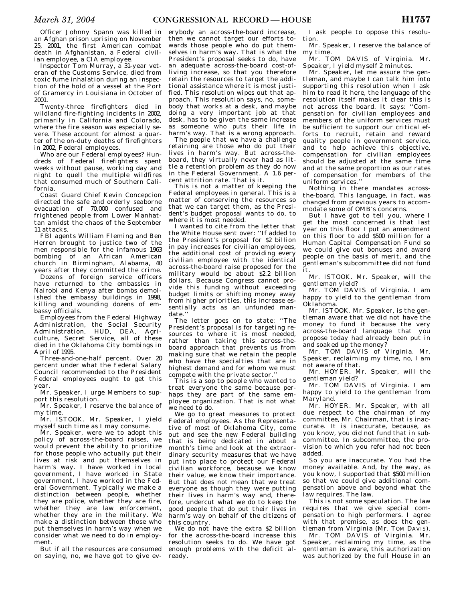Officer Johnny Spann was killed in an Afghan prison uprising on November 25, 2001, the first American combat death in Afghanistan, a Federal civilian employee, a CIA employee.

Inspector Tom Murray, a 31-year veteran of the Customs Service, died from toxic fume inhalation during an inspection of the hold of a vessel at the Port of Gramercy in Louisiana in October of 2001.

Twenty-three firefighters died in wildland fire-fighting incidents in 2002, primarily in California and Colorado, where the fire season was especially severe. These account for almost a quarter of the on-duty deaths of firefighters in 2002, Federal employees.

Who are our Federal employees? Hundreds of Federal firefighters spent weeks without pause, working day and night to quell the multiple wildfires that consumed much of Southern California.

Coast Guard Chief Kevin Concepcion directed the safe and orderly seaborne evacuation of 70,000 confused and frightened people from Lower Manhattan amidst the chaos of the September 11 attacks.

FBI agents William Fleming and Ben Herren brought to justice two of the men responsible for the infamous 1963 bombing of an African American church in Birmingham, Alabama, 40 years after they committed the crime.

Dozens of foreign service officers have returned to the embassies in Nairobi and Kenya after bombs demolished the embassy buildings in 1998, killing and wounding dozens of embassy officials.

Employees from the Federal Highway Administration, the Social Security Administration, HUD, DEA, Agriculture, Secret Service, all of these died in the Oklahoma City bombings in April of 1995.

Three-and-one-half percent. Over 20 percent under what the Federal Salary Council recommended to the President Federal employees ought to get this year.

Mr. Speaker, I urge Members to support this resolution.

Mr. Speaker, I reserve the balance of my time.

Mr. ISTOOK. Mr. Speaker, I yield myself such time as I may consume.

Mr. Speaker, were we to adopt this policy of across-the-board raises, we would prevent the ability to prioritize for those people who actually put their lives at risk and put themselves in harm's way. I have worked in local government, I have worked in State government, I have worked in the Federal Government. Typically we make a distinction between people, whether they are police, whether they are fire, whether they are law enforcement. whether they are in the military. We make a distinction between those who put themselves in harm's way when we consider what we need to do in employment.

But if all the resources are consumed on saying, no, we have got to give ev-

erybody an across-the-board increase, then we cannot target our efforts towards those people who do put themselves in harm's way. That is what the President's proposal seeks to do, have an adequate across-the-board cost-ofliving increase, so that you therefore retain the resources to target the additional assistance where it is most justified. This resolution wipes out that approach. This resolution says, no, somebody that works at a desk, and maybe doing a very important job at that desk, has to be given the same increase as someone who puts their life in harm's way. That is a wrong approach.

The people that we have a challenge retaining are those who do put their lives in harm's way. But across-theboard, they virtually never had as little a retention problem as they do now in the Federal Government. A 1.6 percent attrition rate. That is it.

This is not a matter of keeping the Federal employees in general. This is a matter of conserving the resources so that we can target them, as the President's budget proposal wants to do, to where it is most needed.

I wanted to cite from the letter that the White House sent over: ''If added to the President's proposal for \$2 billion in pay increases for civilian employees, the additional cost of providing every civilian employee with the identical across-the-board raise proposed for the military would be about \$2.2 billion dollars. Because Congress cannot provide this funding without exceeding budget limits or shifting money away from higher priorities, this increase essentially acts as an unfunded mandate.''

The letter goes on to state: ''The President's proposal is for targeting resources to where it is most needed, rather than taking this across-theboard approach that prevents us from making sure that we retain the people who have the specialties that are in highest demand and for whom we must compete with the private sector.''

This is a sop to people who wanted to treat everyone the same because perhaps they are part of the same employee organization. That is not what we need to do.

We go to great measures to protect Federal employees. As the Representative of most of Oklahoma City, come out and see the new Federal building that is being dedicated in about a month's time and look at the extraordinary security measures that we have put into place to protect our Federal civilian workforce, because we know their value, we know their importance. But that does not mean that we treat everyone as though they were putting their lives in harm's way and, therefore, undercut what we do to keep the good people that do put their lives in harm's way on behalf of the citizens of this country.

We do not have the extra \$2 billion for the across-the-board increase this resolution seeks to do. We have got enough problems with the deficit already.

I ask people to oppose this resolution.

Mr. Speaker, I reserve the balance of my time.

Mr. TOM DAVIS of Virginia. Mr. Speaker, I yield myself 2 minutes.

Mr. Speaker, let me assure the gentleman, and maybe I can talk him into supporting this resolution when I ask him to read it here, the language of the resolution itself makes it clear this is not across the board. It says: ''Compensation for civilian employees and members of the uniform services must be sufficient to support our critical efforts to recruit, retain and reward quality people in government service, and to help achieve this objective, compensation for civilian employees should be adjusted at the same time and at the same proportion as our rates of compensation for members of the uniform services.''

Nothing in there mandates acrossthe-board. This language, in fact, was changed from previous years to accommodate some of OMB's concerns.

But I have got to tell you, where I get the most concerned is that last year on this floor I put an amendment on this floor to add \$500 million for a Human Capital Compensation Fund so we could give out bonuses and award people on the basis of merit, and the gentleman's subcommittee did not fund it.

Mr. ISTOOK. Mr. Speaker, will the gentleman yield?

Mr. TOM DAVIS of Virginia. I am happy to yield to the gentleman from Oklahoma.

Mr. ISTOOK. Mr. Speaker, is the gentleman aware that we did not have the money to fund it because the very across-the-board language that you propose today had already been put in and soaked up the money?

Mr. TOM DAVIS of Virginia. Mr. Speaker, reclaiming my time, no, I am not aware of that.

Mr. HOYER. Mr. Speaker, will the gentleman yield?

Mr. TOM DAVIS of Virginia. I am happy to yield to the gentleman from Maryland.

Mr. HOYER. Mr. Speaker, with all due respect to the chairman of my committee, Mr. Chairman, that is inaccurate. It is inaccurate, because, as you know, you did not fund that in subcommittee. In subcommittee, the provision to which you refer had not been added.

So you are inaccurate. You had the money available. And, by the way, as you know, I supported that \$500 million so that we could give additional compensation above and beyond what the law requires. The law.

This is not some speculation. The law requires that we give special compensation to high performers. I agree with that premise, as does the gentleman from Virginia (Mr. TOM DAVIS). Mr. TOM DAVIS of Virginia. Mr. Speaker, reclaiming my time, as the

gentleman is aware, this authorization was authorized by the full House in an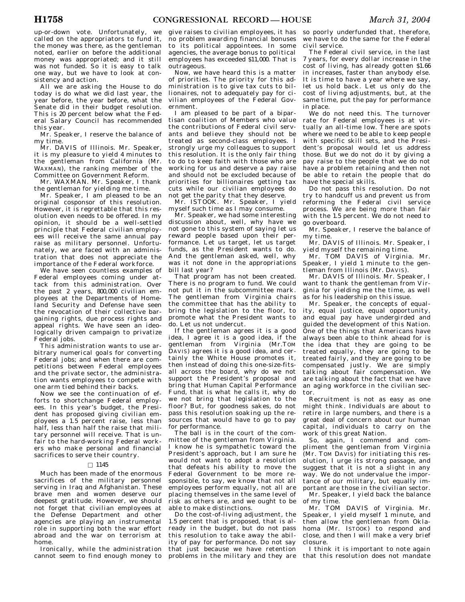up-or-down vote. Unfortunately, we called on the appropriators to fund it, the money was there, as the gentleman noted, earlier on before the additional money was appropriated; and it still was not funded. So it is easy to talk one way, but we have to look at consistency and action.

All we are asking the House to do today is do what we did last year, the year before, the year before, what the Senate did in their budget resolution. This is 20 percent below what the Federal Salary Council has recommended this year.

Mr. Speaker, I reserve the balance of my time.

Mr. DAVIS of Illinois. Mr. Speaker, it is my pleasure to yield 4 minutes to the gentleman from California (Mr. WAXMAN), the ranking member of the Committee on Government Reform.

Mr. WAXMAN. Mr. Speaker, I thank the gentleman for yielding me time.

Mr. Speaker, I am pleased to be an original cosponsor of this resolution. However, it is regrettable that this resolution even needs to be offered. In my opinion, it should be a well-settled principle that Federal civilian employees will receive the same annual pay raise as military personnel. Unfortunately, we are faced with an administration that does not appreciate the importance of the Federal workforce.

We have seen countless examples of Federal employees coming under attack from this administration. Over the past 2 years, 800,000 civilian employees at the Departments of Homeland Security and Defense have seen the revocation of their collective bargaining rights, due process rights and appeal rights. We have seen an ideologically driven campaign to privatize Federal jobs.

This administration wants to use arbitrary numerical goals for converting Federal jobs; and when there are competitions between Federal employees and the private sector, the administration wants employees to compete with one arm tied behind their backs.

Now we see the continuation of efforts to shortchange Federal employees. In this year's budget, the President has proposed giving civilian employees a 1.5 percent raise, less than half, less than half the raise that military personnel will receive. That is unfair to the hard-working Federal workers who make personal and financial sacrifices to serve their country.

## $\Box$  1145

Much has been made of the enormous sacrifices of the military personnel serving in Iraq and Afghanistan. These brave men and women deserve our deepest gratitude. However, we should not forget that civilian employees at the Defense Department and other agencies are playing an instrumental role in supporting both the war effort abroad and the war on terrorism at home.

Ironically, while the administration cannot seem to find enough money to

give raises to civilian employees, it has no problem awarding financial bonuses to its political appointees. In some agencies, the average bonus to political employees has exceeded \$11,000. That is outrageous.

Now, we have heard this is a matter of priorities. The priority for this administration is to give tax cuts to billionaires, not to adequately pay for civilian employees of the Federal Government.

I am pleased to be part of a bipartisan coalition of Members who value the contributions of Federal civil servants and believe they should not be treated as second-class employees. I strongly urge my colleagues to support this resolution. It is the only fair thing to do to keep faith with those who are working for us and deserve a pay raise and should not be excluded because of priorities for billionaires getting tax cuts while our civilian employees do not get the parity that they deserve.

Mr. ISTOOK. Mr. Speaker, I yield myself such time as I may consume.

Mr. Speaker, we had some interesting discussion about, well, why have we not gone to this system of saying let us reward people based upon their performance. Let us target, let us target funds, as the President wants to do. And the gentleman asked, well, why was it not done in the appropriations bill last year?

That program has not been created. There is no program to fund. We could not put it in the subcommittee mark. The gentleman from Virginia chairs the committee that has the ability to bring the legislation to the floor, to promote what the President wants to do. Let us not undercut.

If the gentleman agrees it is a good idea, I agree it is a good idea, if the gentleman from Virginia (Mr.TOM DAVIS) agrees it is a good idea, and certainly the White House promotes it, then instead of doing this one-size-fitsall across the board, why do we not support the President's proposal and bring that Human Capital Performance Fund, that is what he calls it, why do we not bring that legislation to the floor? But, for goodness sakes, do not pass this resolution soaking up the resources that would have to go to pay for performance.

The ball is in the court of the committee of the gentleman from Virginia. I know he is sympathetic toward the President's approach, but I am sure he would not want to adopt a resolution that defeats his ability to move the Federal Government to be more responsible, to say, we know that not all employees perform equally, not all are placing themselves in the same level of risk as others are, and we ought to be able to make distinctions.

Do the cost-of-living adjustment, the 1.5 percent that is proposed, that is already in the budget, but do not pass this resolution to take away the ability of pay for performance. Do not say that just because we have retention problems in the military and they are

so poorly underfunded that, therefore, we have to do the same for the Federal civil service.

The Federal civil service, in the last 7 years, for every dollar increase in the cost of living, has already gotten \$1.66 in increases, faster than anybody else. It is time to have a year where we say, let us hold back. Let us only do the cost of living adjustments, but, at the same time, put the pay for performance in place.

We do not need this. The turnover rate for Federal employees is at virtually an all-time low. There are spots where we need to be able to keep people with specific skill sets, and the President's proposal would let us address those. But we do not do it by giving a pay raise to the people that we do not have a problem retaining and then not be able to retain the people that do have the special skills.

Do not pass this resolution. Do not try to handcuff us and prevent us from reforming the Federal civil service process. We are being more than fair with the 1.5 percent. We do not need to go overboard.

Mr. Speaker, I reserve the balance of my time.

Mr. DAVIS of Illinois. Mr. Speaker, I yield myself the remaining time.

Mr. TOM DAVIS of Virginia. Mr. Speaker, I yield 1 minute to the gentleman from Illinois (Mr. DAVIS).

Mr. DAVIS of Illinois. Mr. Speaker, I want to thank the gentleman from Virginia for yielding me the time, as well as for his leadership on this issue.

Mr. Speaker, the concepts of equality, equal justice, equal opportunity, and equal pay have undergirded and guided the development of this Nation. One of the things that Americans have always been able to think ahead for is the idea that they are going to be treated equally, they are going to be treated fairly, and they are going to be compensated justly. We are simply talking about fair compensation. We are talking about the fact that we have an aging workforce in the civilian sector.

Recruitment is not as easy as one might think. Individuals are about to retire in large numbers, and there is a great deal of concern about our human capital, individuals to carry on the work of this great Nation.

So, again, I commend and compliment the gentleman from Virginia (Mr. TOM DAVIS) for initiating this resolution, I urge its strong passage, and suggest that it is not a slight in any way. We do not undervalue the importance of our military, but equally important are those in the civilian sector. Mr. Speaker, I yield back the balance

of my time.

Mr. TOM DAVIS of Virginia. Mr. Speaker, I yield myself 1 minute, and then allow the gentleman from Oklahoma (Mr. ISTOOK) to respond and close, and then I will make a very brief closure.

I think it is important to note again that this resolution does not mandate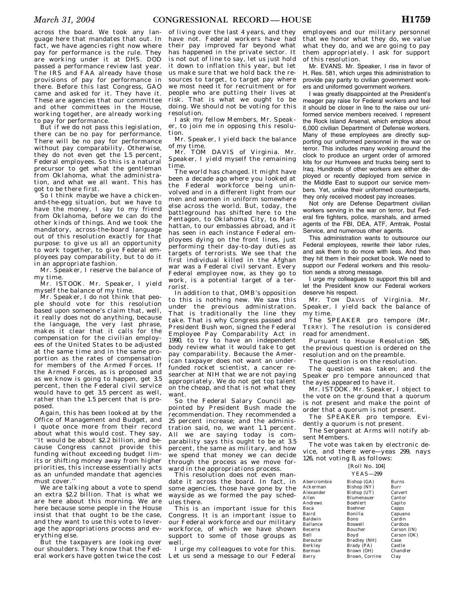across the board. We took any language here that mandates that out. In fact, we have agencies right now where pay for performance is the rule. They are working under it at DHS. DOD passed a performance review last year. The IRS and FAA already have those provisions of pay for performance in there. Before this last Congress, GAO came and asked for it. They have it. These are agencies that our committee and other committees in the House, working together, are already working to pay for performance.

But if we do not pass this legislation, there can be no pay for performance. There will be no pay for performance without pay comparability. Otherwise, they do not even get the 1.5 percent, Federal employees. So this is a natural precursor to get what the gentleman from Oklahoma, what the administration, and what we all want. This has got to be there first.

So I think maybe we have a chickenand-the-egg situation, but we have to have the money, I say to my friend from Oklahoma, before we can do the other kinds of things. And we took the mandatory, across-the-board language out of this resolution exactly for that purpose: to give us all an opportunity to work together, to give Federal employees pay comparability, but to do it in an appropriate fashion.

Mr. Speaker, I reserve the balance of my time.

Mr. ISTOOK. Mr. Speaker, I yield myself the balance of my time.

Mr. Speaker, I do not think that people should vote for this resolution based upon someone's claim that, well, it really does not do anything, because the language, the very last phrase, makes it clear that it calls for the compensation for the civilian employees of the United States to be adjusted at the same time and in the same proportion as the rates of compensation for members of the Armed Forces. If the Armed Forces, as is proposed and as we know is going to happen, get 3.5 percent, then the Federal civil service would have to get 3.5 percent as well, rather than the 1.5 percent that is proposed.

Again, this has been looked at by the Office of Management and Budget, and I quote once more from their record about what this would cost. They say, ''It would be about \$2.2 billion, and because Congress cannot provide this funding without exceeding budget limits or shifting money away from higher priorities, this increase essentially acts as an unfunded mandate that agencies must cover.''

We are talking about a vote to spend an extra \$2.2 billion. That is what we are here about this morning. We are here because some people in the House insist that that ought to be the case, and they want to use this vote to leverage the appropriations process and everything else.

But the taxpayers are looking over our shoulders. They know that the Federal workers have gotten twice the cost

of living over the last 4 years, and they have not. Federal workers have had their pay improved far beyond what has happened in the private sector. It is not out of line to say, let us just hold it down to inflation this year, but let us make sure that we hold back the resources to target, to target pay where we most need it for recruitment or for people who are putting their lives at risk. That is what we ought to be doing. We should not be voting for this resolution

I ask my fellow Members, Mr. Speaker, to join me in opposing this resolution.

Mr. Speaker, I yield back the balance of my time.

Mr. TOM DAVIS of Virginia. Mr. Speaker, I yield myself the remaining time.

The world has changed. It might have been a decade ago where you looked at the Federal workforce being uninvolved and in a different light from our men and women in uniform somewhere else across the world. But, today, the battleground has shifted here to the Pentagon, to Oklahoma City, to Manhattan, to our embassies abroad, and it has seen in each instance Federal employees dying on the front lines, just performing their day-to-day duties as targets of terrorists. We see that the first individual killed in the Afghan war was a Federal civil servant. Every Federal employee now, as they go to work, is a potential target of a terrorist.

In addition to that, OMB's opposition to this is nothing new. We saw this under the previous administration. That is traditionally the line they take. That is why Congress passed and President Bush won, signed the Federal Employee Pay Comparability Act in 1990, to try to have an independent body review what it would take to get pay comparability. Because the American taxpayer does not want an underfunded rocket scientist, a cancer researcher at NIH that we are not paying appropriately. We do not get top talent on the cheap, and that is not what they want.

So the Federal Salary Council appointed by President Bush made the recommendation. They recommended a 25 percent increase; and the administration said, no, we want 1.1 percent. All we are saying today is comparability says this ought to be at 3.5 percent, the same as military, and how we spend that money we can decide through the process as we move forward in the appropriations process.

This resolution does not even mandate it across the board. In fact, in some agencies, those have gone by the wayside as we formed the pay schedules there.

This is an important issue for this Congress. It is an important issue to our Federal workforce and our military workforce, of which we have shown support to some of those groups as well.

I urge my colleagues to vote for this. Let us send a message to our Federal

employees and our military personnel that we honor what they do, we value what they do, and we are going to pay them appropriately. I ask for support of this resolution.

Mr. EVANS. Mr. Speaker, I rise in favor of H. Res. 581, which urges this administration to provide pay parity to civilian government workers and uniformed government workers.

I was greatly disappointed at the President's meager pay raise for Federal workers and feel it should be closer in line to the raise our uniformed service members received. I represent the Rock Island Arsenal, which employs about 6,000 civilian Department of Defense workers. Many of these employees are directly supporting our uniformed personnel in the war on terror. This includes many working around the clock to produce an urgent order of armored kits for our Humvees and trucks being sent to Iraq. Hundreds of other workers are either deployed or recently deployed from service in the Middle East to support our service members. Yet, unlike their uniformed counterparts, they only received modest pay increases.

Not only are Defense Department civilian workers serving in the war on terror, but Federal fire fighters, police, marshals, and armed agents of the FBI, DEA, ATF, Amtrak, Postal Service, and numerous other agents.

This administration wants to outsource our Federal employees, rewrite their labor rules, and ask them to do more with less. And then they hit them in their pocket book. We need to support our Federal workers and this resolution sends a strong message.

I urge my colleagues to support this bill and let the President know our Federal workers deserve his respect.

Mr. TOM DAVIS of Virginia. Mr. Speaker, I yield back the balance of my time.

The SPEAKER pro tempore (Mr. TERRY). The resolution is considered read for amendment.

Pursuant to House Resolution 585, the previous question is ordered on the resolution and on the preamble.

The question is on the resolution.

The question was taken; and the Speaker pro tempore announced that the ayes appeared to have it.

Mr. ISTOOK. Mr. Speaker, I object to the vote on the ground that a quorum is not present and make the point of order that a quorum is not present.

The SPEAKER pro tempore. Evidently a quorum is not present.

The Sergeant at Arms will notify absent Members.

The vote was taken by electronic device, and there were—yeas 299, nays 126, not voting 8, as follows:

> [Roll No. 104] YEAS—299

| Abercrombie | Bishop (GA)     | <b>Burns</b> |
|-------------|-----------------|--------------|
| Ackerman    | Bishop (NY)     | Burr         |
| Alexander   | Bishop (UT)     | Calvert      |
| Allen       | Blumenauer      | Cantor       |
| Andrews     | <b>Boehlert</b> | Capito       |
| Baca        | Boehner         | Capps        |
| Baird       | Bonilla         | Capuano      |
| Baldwin     | Bono            | Cardin       |
| Ballance    | <b>Boswell</b>  | Cardoza      |
| Becerra     | Boucher         | Carson (IN)  |
| Bell        | Boyd            | Carson (OK)  |
| Bereuter    | Bradley (NH)    | Case         |
| Berkley     | Brady (PA)      | Castle       |
| Berman      | Brown (OH)      | Chandler     |
| Berry       | Brown, Corrine  | Clay         |